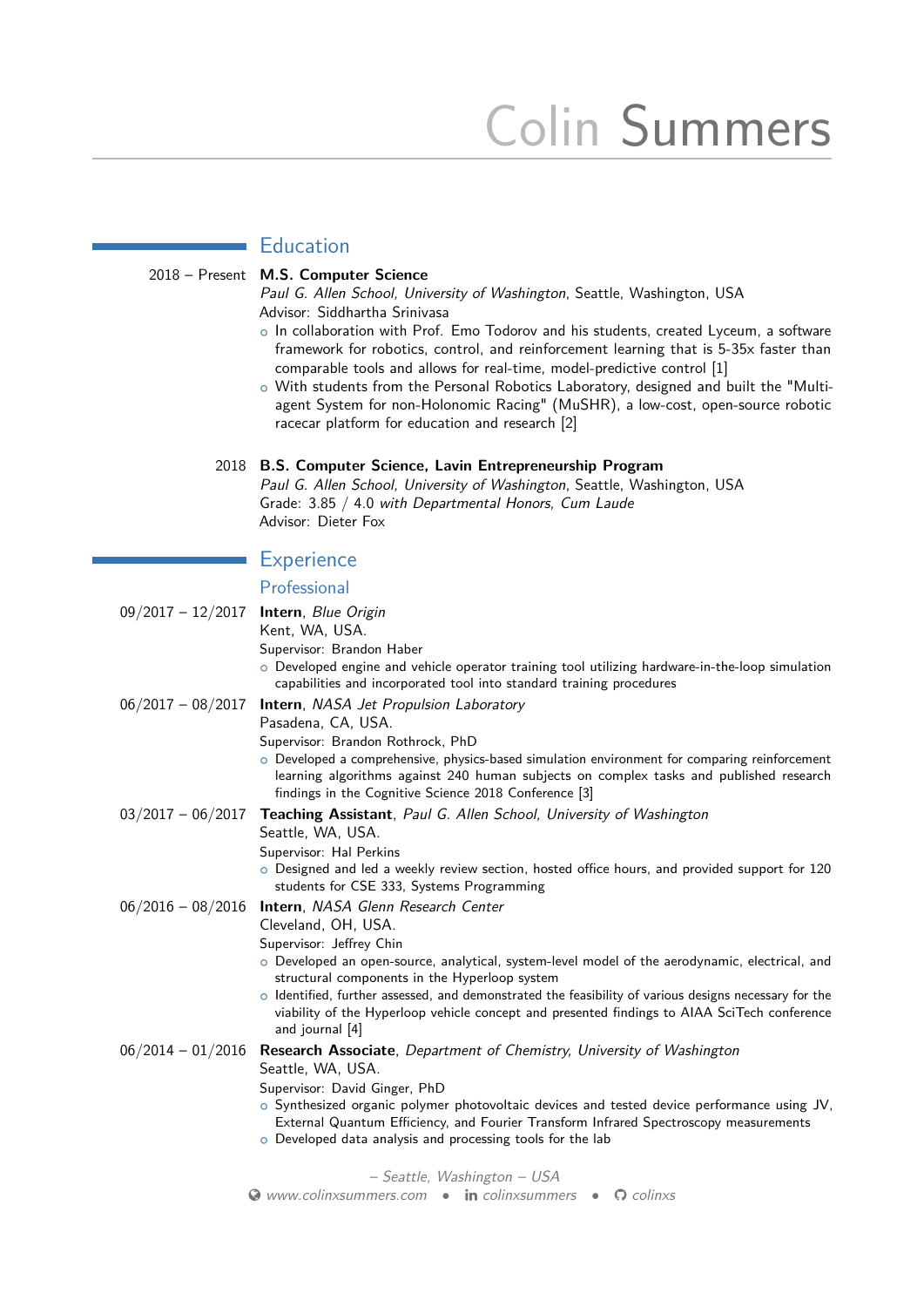# Colin Summers

# **Education**

#### 2018 – Present **M.S. Computer Science**

Paul G. Allen School, University of Washington, Seattle, Washington, USA Advisor: Siddhartha Srinivasa

- o In collaboration with Prof. Emo Todorov and his students, created Lyceum, a software framework for robotics, control, and reinforcement learning that is 5-35x faster than comparable tools and allows for real-time, model-predictive control [\[1\]](#page-1-0)
- o With students from the Personal Robotics Laboratory, designed and built the "Multiagent System for non-Holonomic Racing" (MuSHR), a low-cost, open-source robotic racecar platform for education and research [\[2\]](#page-1-1)

#### 2018 **B.S. Computer Science, Lavin Entrepreneurship Program**

Paul G. Allen School, University of Washington, Seattle, Washington, USA Grade: 3.85 / 4.0 with Departmental Honors, Cum Laude Advisor: Dieter Fox

#### **Experience**

## Professional

| $09/2017 - 12/2017$         | Intern, Blue Origin                                                                                                                                                                                                                                    |
|-----------------------------|--------------------------------------------------------------------------------------------------------------------------------------------------------------------------------------------------------------------------------------------------------|
|                             | Kent, WA, USA.                                                                                                                                                                                                                                         |
|                             | Supervisor: Brandon Haber                                                                                                                                                                                                                              |
|                             | $\circ$ Developed engine and vehicle operator training tool utilizing hardware-in-the-loop simulation<br>capabilities and incorporated tool into standard training procedures                                                                          |
| $06/2017 - 08/2017$         | <b>Intern, NASA Jet Propulsion Laboratory</b>                                                                                                                                                                                                          |
|                             | Pasadena, CA, USA.                                                                                                                                                                                                                                     |
|                             | Supervisor: Brandon Rothrock, PhD                                                                                                                                                                                                                      |
|                             | $\circ$ Developed a comprehensive, physics-based simulation environment for comparing reinforcement<br>learning algorithms against 240 human subjects on complex tasks and published research<br>findings in the Cognitive Science 2018 Conference [3] |
| $03/2017 - 06/2017$         | <b>Teaching Assistant, Paul G. Allen School, University of Washington</b>                                                                                                                                                                              |
|                             | Seattle, WA, USA.                                                                                                                                                                                                                                      |
|                             | Supervisor: Hal Perkins                                                                                                                                                                                                                                |
|                             | o Designed and led a weekly review section, hosted office hours, and provided support for 120<br>students for CSE 333, Systems Programming                                                                                                             |
| $06/2016 - 08/2016$         | Intern, NASA Glenn Research Center                                                                                                                                                                                                                     |
|                             | Cleveland, OH, USA.                                                                                                                                                                                                                                    |
|                             | Supervisor: Jeffrey Chin                                                                                                                                                                                                                               |
|                             | o Developed an open-source, analytical, system-level model of the aerodynamic, electrical, and<br>structural components in the Hyperloop system                                                                                                        |
|                             | $\circ$ Identified, further assessed, and demonstrated the feasibility of various designs necessary for the<br>viability of the Hyperloop vehicle concept and presented findings to AIAA SciTech conference<br>and journal [4]                         |
| $06/2014 - 01/2016$         | Research Associate, Department of Chemistry, University of Washington                                                                                                                                                                                  |
|                             | Seattle, WA, USA.                                                                                                                                                                                                                                      |
|                             | Supervisor: David Ginger, PhD                                                                                                                                                                                                                          |
|                             | $\circ$ Synthesized organic polymer photovoltaic devices and tested device performance using JV,                                                                                                                                                       |
|                             |                                                                                                                                                                                                                                                        |
|                             |                                                                                                                                                                                                                                                        |
| - Seattle, Washington - USA |                                                                                                                                                                                                                                                        |
|                             | External Quantum Efficiency, and Fourier Transform Infrared Spectroscopy measurements<br>o Developed data analysis and processing tools for the lab                                                                                                    |

**◆ [www.colinxsummers.com](http://www.colinxsummers.com)** • in [colinxsummers](http://www.linkedin.com/in/colinxsummers) • ◆ [colinxs](http://www.github.com/colinxs)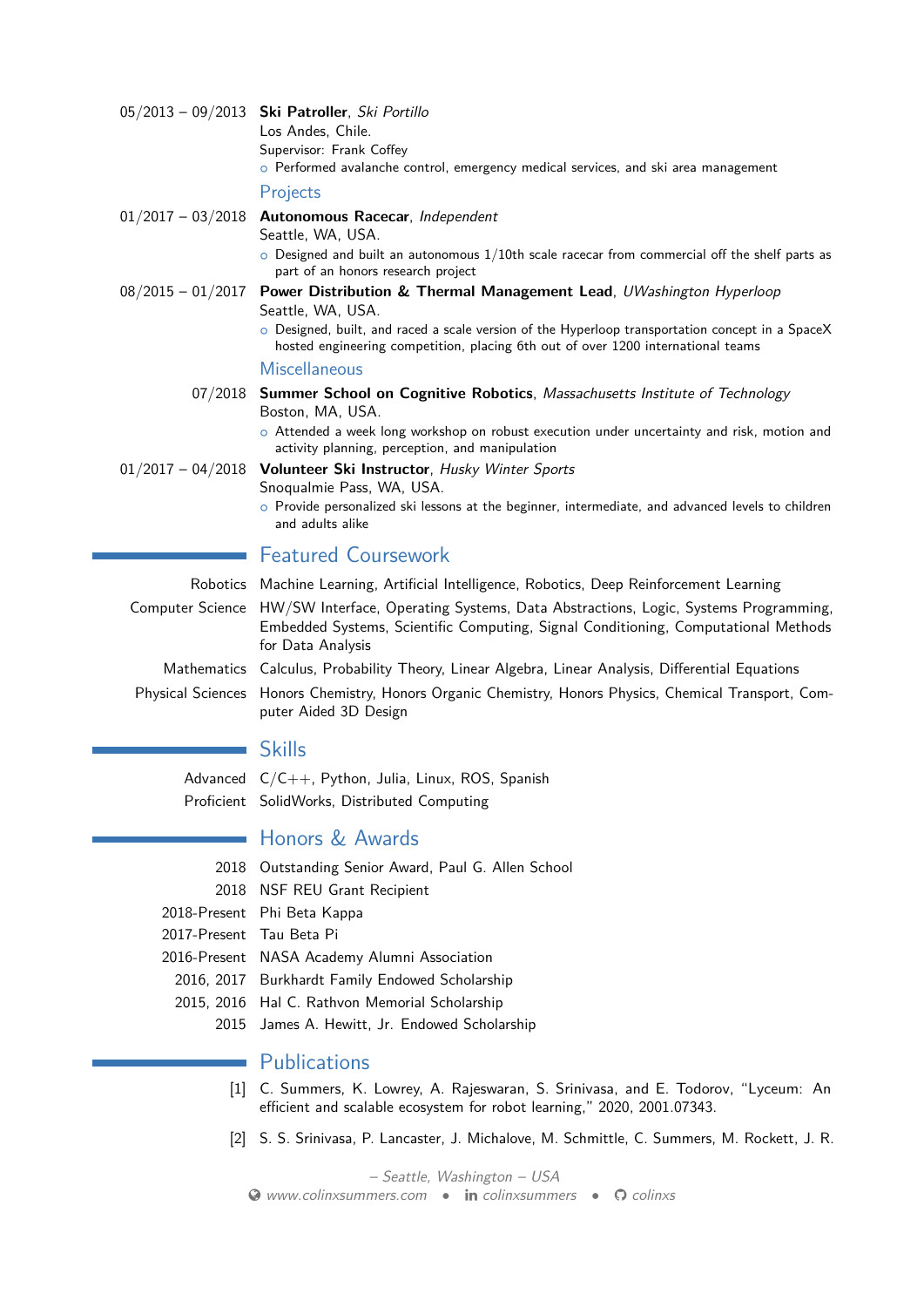|                     | 05/2013 - 09/2013 Ski Patroller, Ski Portillo<br>Los Andes, Chile.<br>Supervisor: Frank Coffey<br>$\circ$ Performed avalanche control, emergency medical services, and ski area management                                                              |
|---------------------|---------------------------------------------------------------------------------------------------------------------------------------------------------------------------------------------------------------------------------------------------------|
|                     | Projects                                                                                                                                                                                                                                                |
|                     | $01/2017 - 03/2018$ Autonomous Racecar, Independent<br>Seattle, WA, USA.<br>$\circ$ Designed and built an autonomous $1/10$ th scale racecar from commercial off the shelf parts as<br>part of an honors research project                               |
| $08/2015 - 01/2017$ | Power Distribution & Thermal Management Lead, UWashington Hyperloop<br>Seattle, WA, USA.                                                                                                                                                                |
|                     | o Designed, built, and raced a scale version of the Hyperloop transportation concept in a SpaceX<br>hosted engineering competition, placing 6th out of over 1200 international teams                                                                    |
|                     | Miscellaneous                                                                                                                                                                                                                                           |
|                     | 07/2018 Summer School on Cognitive Robotics, Massachusetts Institute of Technology<br>Boston, MA, USA.<br>o Attended a week long workshop on robust execution under uncertainty and risk, motion and<br>activity planning, perception, and manipulation |
| $01/2017 - 04/2018$ | Volunteer Ski Instructor, Husky Winter Sports<br>Snoqualmie Pass, WA, USA.                                                                                                                                                                              |
|                     | o Provide personalized ski lessons at the beginner, intermediate, and advanced levels to children<br>and adults alike                                                                                                                                   |
|                     | <b>Featured Coursework</b>                                                                                                                                                                                                                              |
|                     | Robotics Machine Learning, Artificial Intelligence, Robotics, Deep Reinforcement Learning                                                                                                                                                               |
|                     | Computer Science HW/SW Interface, Operating Systems, Data Abstractions, Logic, Systems Programming,<br>Embedded Systems, Scientific Computing, Signal Conditioning, Computational Methods<br>for Data Analysis                                          |
|                     | Mathematics Calculus, Probability Theory, Linear Algebra, Linear Analysis, Differential Equations                                                                                                                                                       |
|                     | Physical Sciences Honors Chemistry, Honors Organic Chemistry, Honors Physics, Chemical Transport, Com-<br>puter Aided 3D Design                                                                                                                         |

## Skills

Advanced C/C++, Python, Julia, Linux, ROS, Spanish Proficient SolidWorks, Distributed Computing

## Honors & Awards

- 2018 Outstanding Senior Award, Paul G. Allen School
- 2018 NSF REU Grant Recipient
- 2018-Present Phi Beta Kappa
- 2017-Present Tau Beta Pi
- 2016-Present NASA Academy Alumni Association
	- 2016, 2017 Burkhardt Family Endowed Scholarship
	- 2015, 2016 Hal C. Rathvon Memorial Scholarship
		- 2015 James A. Hewitt, Jr. Endowed Scholarship

#### **Publications** ä

- <span id="page-1-0"></span>[1] C. Summers, K. Lowrey, A. Rajeswaran, S. Srinivasa, and E. Todorov, "Lyceum: An efficient and scalable ecosystem for robot learning," 2020, 2001.07343.
- <span id="page-1-1"></span>[2] S. S. Srinivasa, P. Lancaster, J. Michalove, M. Schmittle, C. Summers, M. Rockett, J. R.